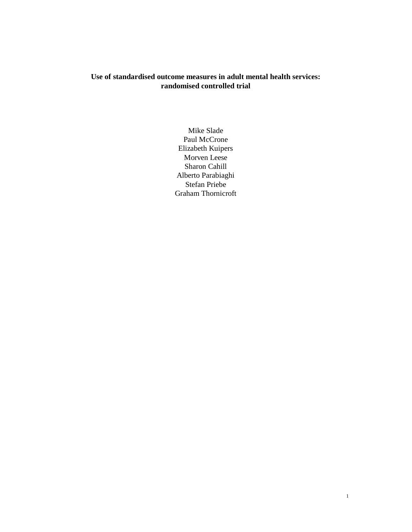# **Use of standardised outcome measures in adult mental health services: randomised controlled trial**

Mike Slade Paul McCrone Elizabeth Kuipers Morven Leese Sharon Cahill Alberto Parabiaghi Stefan Priebe Graham Thornicroft

1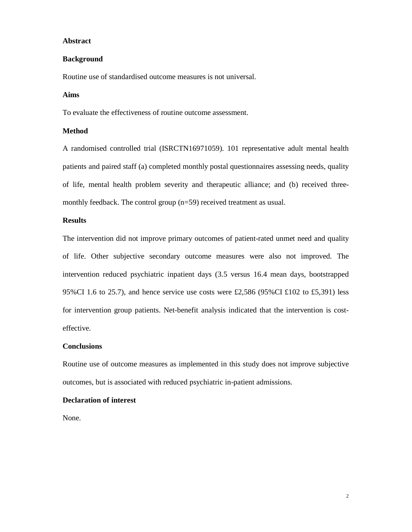# **Abstract**

## **Background**

Routine use of standardised outcome measures is not universal.

# **Aims**

To evaluate the effectiveness of routine outcome assessment.

# **Method**

A randomised controlled trial (ISRCTN16971059). 101 representative adult mental health patients and paired staff (a) completed monthly postal questionnaires assessing needs, quality of life, mental health problem severity and therapeutic alliance; and (b) received threemonthly feedback. The control group (n=59) received treatment as usual.

## **Results**

The intervention did not improve primary outcomes of patient-rated unmet need and quality of life. Other subjective secondary outcome measures were also not improved. The intervention reduced psychiatric inpatient days (3.5 versus 16.4 mean days, bootstrapped 95%CI 1.6 to 25.7), and hence service use costs were £2,586 (95%CI £102 to £5,391) less for intervention group patients. Net-benefit analysis indicated that the intervention is costeffective.

## **Conclusions**

Routine use of outcome measures as implemented in this study does not improve subjective outcomes, but is associated with reduced psychiatric in-patient admissions.

# **Declaration of interest**

None.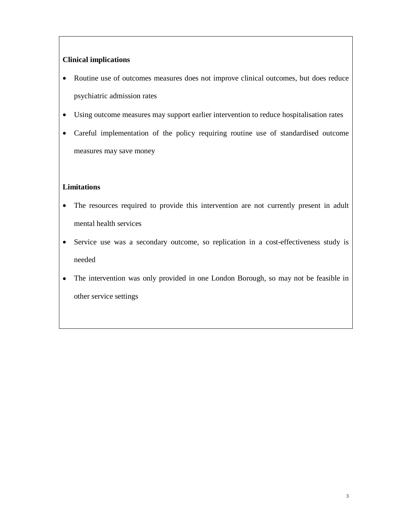# **Clinical implications**

- Routine use of outcomes measures does not improve clinical outcomes, but does reduce psychiatric admission rates
- Using outcome measures may support earlier intervention to reduce hospitalisation rates
- Careful implementation of the policy requiring routine use of standardised outcome measures may save money

# **Limitations**

- The resources required to provide this intervention are not currently present in adult mental health services
- Service use was a secondary outcome, so replication in a cost-effectiveness study is needed
- The intervention was only provided in one London Borough, so may not be feasible in other service settings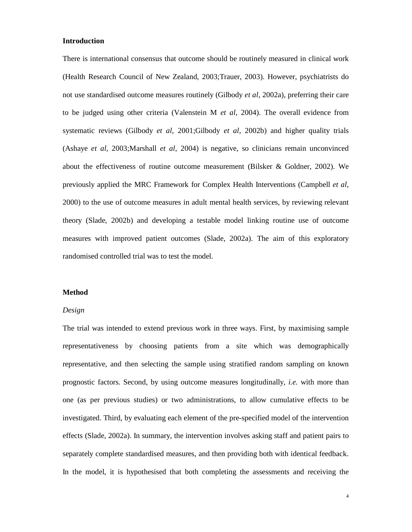# **Introduction**

There is international consensus that outcome should be routinely measured in clinical work (Health Research Council of New Zealand, 2003;Trauer, 2003). However, psychiatrists do not use standardised outcome measures routinely (Gilbody *et al*, 2002a), preferring their care to be judged using other criteria (Valenstein M *et al*, 2004). The overall evidence from systematic reviews (Gilbody *et al*, 2001;Gilbody *et al*, 2002b) and higher quality trials (Ashaye *et al*, 2003;Marshall *et al*, 2004) is negative, so clinicians remain unconvinced about the effectiveness of routine outcome measurement (Bilsker  $\&$  Goldner, 2002). We previously applied the MRC Framework for Complex Health Interventions (Campbell *et al*, 2000) to the use of outcome measures in adult mental health services, by reviewing relevant theory (Slade, 2002b) and developing a testable model linking routine use of outcome measures with improved patient outcomes (Slade, 2002a). The aim of this exploratory randomised controlled trial was to test the model.

# **Method**

# *Design*

The trial was intended to extend previous work in three ways. First, by maximising sample representativeness by choosing patients from a site which was demographically representative, and then selecting the sample using stratified random sampling on known prognostic factors. Second, by using outcome measures longitudinally, *i.e.* with more than one (as per previous studies) or two administrations, to allow cumulative effects to be investigated. Third, by evaluating each element of the pre-specified model of the intervention effects (Slade, 2002a). In summary, the intervention involves asking staff and patient pairs to separately complete standardised measures, and then providing both with identical feedback. In the model, it is hypothesised that both completing the assessments and receiving the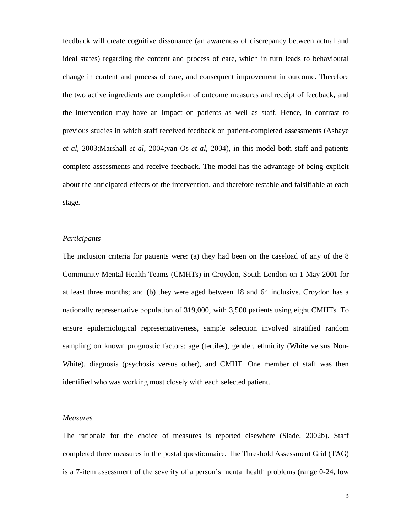feedback will create cognitive dissonance (an awareness of discrepancy between actual and ideal states) regarding the content and process of care, which in turn leads to behavioural change in content and process of care, and consequent improvement in outcome. Therefore the two active ingredients are completion of outcome measures and receipt of feedback, and the intervention may have an impact on patients as well as staff. Hence, in contrast to previous studies in which staff received feedback on patient-completed assessments (Ashaye *et al*, 2003;Marshall *et al*, 2004;van Os *et al*, 2004), in this model both staff and patients complete assessments and receive feedback. The model has the advantage of being explicit about the anticipated effects of the intervention, and therefore testable and falsifiable at each stage.

### *Participants*

The inclusion criteria for patients were: (a) they had been on the caseload of any of the 8 Community Mental Health Teams (CMHTs) in Croydon, South London on 1 May 2001 for at least three months; and (b) they were aged between 18 and 64 inclusive. Croydon has a nationally representative population of 319,000, with 3,500 patients using eight CMHTs. To ensure epidemiological representativeness, sample selection involved stratified random sampling on known prognostic factors: age (tertiles), gender, ethnicity (White versus Non-White), diagnosis (psychosis versus other), and CMHT. One member of staff was then identified who was working most closely with each selected patient.

#### *Measures*

The rationale for the choice of measures is reported elsewhere (Slade, 2002b). Staff completed three measures in the postal questionnaire. The Threshold Assessment Grid (TAG) is a 7-item assessment of the severity of a person's mental health problems (range 0-24, low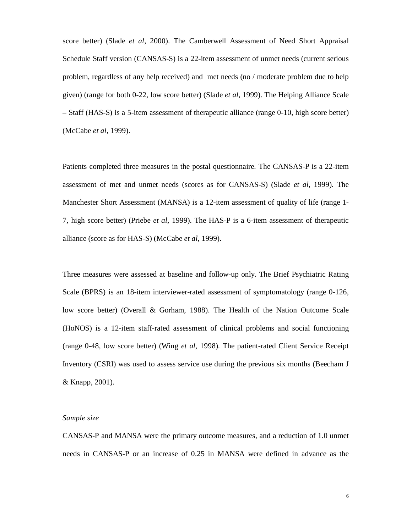score better) (Slade *et al*, 2000). The Camberwell Assessment of Need Short Appraisal Schedule Staff version (CANSAS-S) is a 22-item assessment of unmet needs (current serious problem, regardless of any help received) and met needs (no / moderate problem due to help given) (range for both 0-22, low score better) (Slade *et al*, 1999). The Helping Alliance Scale – Staff (HAS-S) is a 5-item assessment of therapeutic alliance (range 0-10, high score better) (McCabe *et al*, 1999).

Patients completed three measures in the postal questionnaire. The CANSAS-P is a 22-item assessment of met and unmet needs (scores as for CANSAS-S) (Slade *et al*, 1999). The Manchester Short Assessment (MANSA) is a 12-item assessment of quality of life (range 1- 7, high score better) (Priebe *et al*, 1999). The HAS-P is a 6-item assessment of therapeutic alliance (score as for HAS-S) (McCabe *et al*, 1999).

Three measures were assessed at baseline and follow-up only. The Brief Psychiatric Rating Scale (BPRS) is an 18-item interviewer-rated assessment of symptomatology (range 0-126, low score better) (Overall & Gorham, 1988). The Health of the Nation Outcome Scale (HoNOS) is a 12-item staff-rated assessment of clinical problems and social functioning (range 0-48, low score better) (Wing *et al*, 1998). The patient-rated Client Service Receipt Inventory (CSRI) was used to assess service use during the previous six months (Beecham J & Knapp, 2001).

### *Sample size*

CANSAS-P and MANSA were the primary outcome measures, and a reduction of 1.0 unmet needs in CANSAS-P or an increase of 0.25 in MANSA were defined in advance as the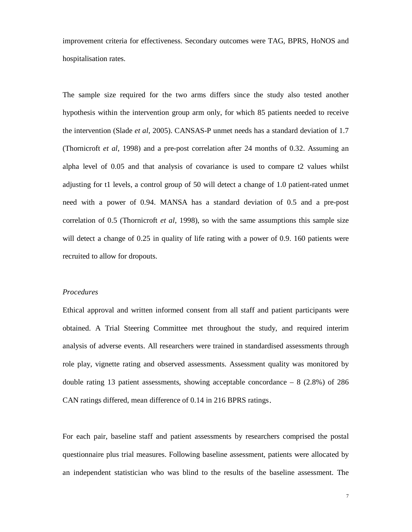improvement criteria for effectiveness. Secondary outcomes were TAG, BPRS, HoNOS and hospitalisation rates.

The sample size required for the two arms differs since the study also tested another hypothesis within the intervention group arm only, for which 85 patients needed to receive the intervention (Slade *et al*, 2005). CANSAS-P unmet needs has a standard deviation of 1.7 (Thornicroft *et al*, 1998) and a pre-post correlation after 24 months of 0.32. Assuming an alpha level of 0.05 and that analysis of covariance is used to compare t2 values whilst adjusting for t1 levels, a control group of 50 will detect a change of 1.0 patient-rated unmet need with a power of 0.94. MANSA has a standard deviation of 0.5 and a pre-post correlation of 0.5 (Thornicroft *et al*, 1998), so with the same assumptions this sample size will detect a change of 0.25 in quality of life rating with a power of 0.9. 160 patients were recruited to allow for dropouts.

## *Procedures*

Ethical approval and written informed consent from all staff and patient participants were obtained. A Trial Steering Committee met throughout the study, and required interim analysis of adverse events. All researchers were trained in standardised assessments through role play, vignette rating and observed assessments. Assessment quality was monitored by double rating 13 patient assessments, showing acceptable concordance  $-8$  (2.8%) of 286 CAN ratings differed, mean difference of 0.14 in 216 BPRS ratings.

For each pair, baseline staff and patient assessments by researchers comprised the postal questionnaire plus trial measures. Following baseline assessment, patients were allocated by an independent statistician who was blind to the results of the baseline assessment. The

7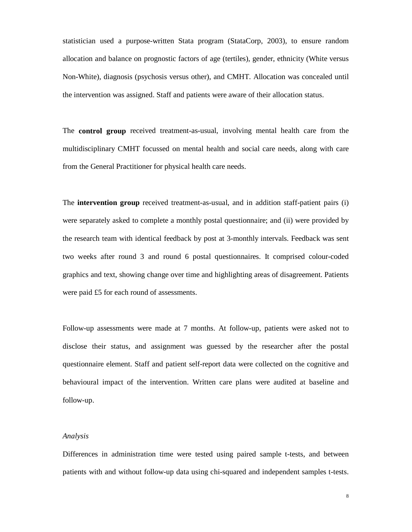statistician used a purpose-written Stata program (StataCorp, 2003), to ensure random allocation and balance on prognostic factors of age (tertiles), gender, ethnicity (White versus Non-White), diagnosis (psychosis versus other), and CMHT. Allocation was concealed until the intervention was assigned. Staff and patients were aware of their allocation status.

The **control group** received treatment-as-usual, involving mental health care from the multidisciplinary CMHT focussed on mental health and social care needs, along with care from the General Practitioner for physical health care needs.

The **intervention group** received treatment-as-usual, and in addition staff-patient pairs (i) were separately asked to complete a monthly postal questionnaire; and (ii) were provided by the research team with identical feedback by post at 3-monthly intervals. Feedback was sent two weeks after round 3 and round 6 postal questionnaires. It comprised colour-coded graphics and text, showing change over time and highlighting areas of disagreement. Patients were paid £5 for each round of assessments.

Follow-up assessments were made at 7 months. At follow-up, patients were asked not to disclose their status, and assignment was guessed by the researcher after the postal questionnaire element. Staff and patient self-report data were collected on the cognitive and behavioural impact of the intervention. Written care plans were audited at baseline and follow-up.

## *Analysis*

Differences in administration time were tested using paired sample t-tests, and between patients with and without follow-up data using chi-squared and independent samples t-tests.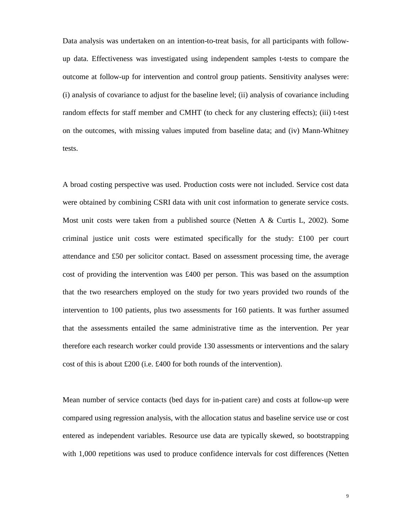Data analysis was undertaken on an intention-to-treat basis, for all participants with followup data. Effectiveness was investigated using independent samples t-tests to compare the outcome at follow-up for intervention and control group patients. Sensitivity analyses were: (i) analysis of covariance to adjust for the baseline level; (ii) analysis of covariance including random effects for staff member and CMHT (to check for any clustering effects); (iii) t-test on the outcomes, with missing values imputed from baseline data; and (iv) Mann-Whitney tests.

A broad costing perspective was used. Production costs were not included. Service cost data were obtained by combining CSRI data with unit cost information to generate service costs. Most unit costs were taken from a published source (Netten A & Curtis L, 2002). Some criminal justice unit costs were estimated specifically for the study: £100 per court attendance and £50 per solicitor contact. Based on assessment processing time, the average cost of providing the intervention was £400 per person. This was based on the assumption that the two researchers employed on the study for two years provided two rounds of the intervention to 100 patients, plus two assessments for 160 patients. It was further assumed that the assessments entailed the same administrative time as the intervention. Per year therefore each research worker could provide 130 assessments or interventions and the salary cost of this is about £200 (i.e. £400 for both rounds of the intervention).

Mean number of service contacts (bed days for in-patient care) and costs at follow-up were compared using regression analysis, with the allocation status and baseline service use or cost entered as independent variables. Resource use data are typically skewed, so bootstrapping with 1,000 repetitions was used to produce confidence intervals for cost differences (Netten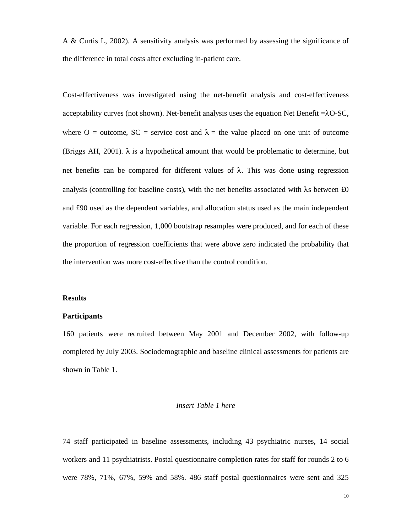A & Curtis L, 2002). A sensitivity analysis was performed by assessing the significance of the difference in total costs after excluding in-patient care.

Cost-effectiveness was investigated using the net-benefit analysis and cost-effectiveness acceptability curves (not shown). Net-benefit analysis uses the equation Net Benefit  $=\lambda O-SC$ , where O = outcome, SC = service cost and  $\lambda$  = the value placed on one unit of outcome (Briggs AH, 2001).  $\lambda$  is a hypothetical amount that would be problematic to determine, but net benefits can be compared for different values of  $\lambda$ . This was done using regression analysis (controlling for baseline costs), with the net benefits associated with  $\lambda$ s between £0 and £90 used as the dependent variables, and allocation status used as the main independent variable. For each regression, 1,000 bootstrap resamples were produced, and for each of these the proportion of regression coefficients that were above zero indicated the probability that the intervention was more cost-effective than the control condition.

## **Results**

## **Participants**

160 patients were recruited between May 2001 and December 2002, with follow-up completed by July 2003. Sociodemographic and baseline clinical assessments for patients are shown in Table 1.

#### *Insert Table 1 here*

74 staff participated in baseline assessments, including 43 psychiatric nurses, 14 social workers and 11 psychiatrists. Postal questionnaire completion rates for staff for rounds 2 to 6 were 78%, 71%, 67%, 59% and 58%. 486 staff postal questionnaires were sent and 325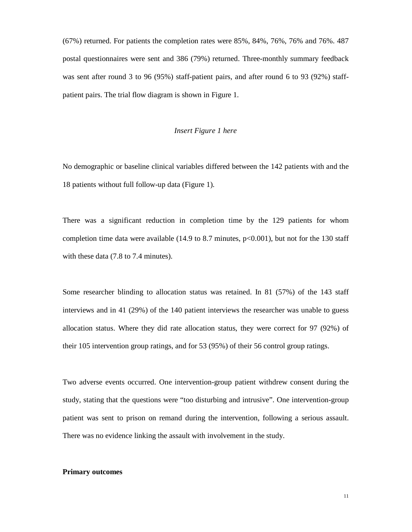(67%) returned. For patients the completion rates were 85%, 84%, 76%, 76% and 76%. 487 postal questionnaires were sent and 386 (79%) returned. Three-monthly summary feedback was sent after round 3 to 96 (95%) staff-patient pairs, and after round 6 to 93 (92%) staffpatient pairs. The trial flow diagram is shown in Figure 1.

### *Insert Figure 1 here*

No demographic or baseline clinical variables differed between the 142 patients with and the 18 patients without full follow-up data (Figure 1).

There was a significant reduction in completion time by the 129 patients for whom completion time data were available  $(14.9 \text{ to } 8.7 \text{ minutes}, p<0.001)$ , but not for the 130 staff with these data (7.8 to 7.4 minutes).

Some researcher blinding to allocation status was retained. In 81 (57%) of the 143 staff interviews and in 41 (29%) of the 140 patient interviews the researcher was unable to guess allocation status. Where they did rate allocation status, they were correct for 97 (92%) of their 105 intervention group ratings, and for 53 (95%) of their 56 control group ratings.

Two adverse events occurred. One intervention-group patient withdrew consent during the study, stating that the questions were "too disturbing and intrusive". One intervention-group patient was sent to prison on remand during the intervention, following a serious assault. There was no evidence linking the assault with involvement in the study.

## **Primary outcomes**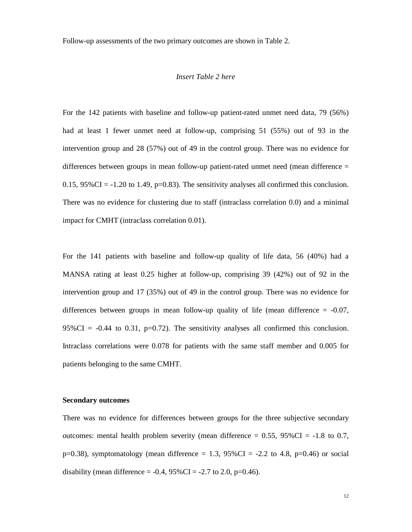Follow-up assessments of the two primary outcomes are shown in Table 2.

### *Insert Table 2 here*

For the 142 patients with baseline and follow-up patient-rated unmet need data, 79 (56%) had at least 1 fewer unmet need at follow-up, comprising 51 (55%) out of 93 in the intervention group and 28 (57%) out of 49 in the control group. There was no evidence for differences between groups in mean follow-up patient-rated unmet need (mean difference = 0.15,  $95\%$ CI = -1.20 to 1.49, p=0.83). The sensitivity analyses all confirmed this conclusion. There was no evidence for clustering due to staff (intraclass correlation 0.0) and a minimal impact for CMHT (intraclass correlation 0.01).

For the 141 patients with baseline and follow-up quality of life data, 56 (40%) had a MANSA rating at least 0.25 higher at follow-up, comprising 39 (42%) out of 92 in the intervention group and 17 (35%) out of 49 in the control group. There was no evidence for differences between groups in mean follow-up quality of life (mean difference  $= -0.07$ , 95%CI =  $-0.44$  to 0.31, p=0.72). The sensitivity analyses all confirmed this conclusion. Intraclass correlations were 0.078 for patients with the same staff member and 0.005 for patients belonging to the same CMHT.

## **Secondary outcomes**

There was no evidence for differences between groups for the three subjective secondary outcomes: mental health problem severity (mean difference  $= 0.55$ , 95%CI  $= -1.8$  to 0.7,  $p=0.38$ ), symptomatology (mean difference = 1.3, 95%CI = -2.2 to 4.8,  $p=0.46$ ) or social disability (mean difference =  $-0.4$ ,  $95\%$ CI =  $-2.7$  to 2.0, p=0.46).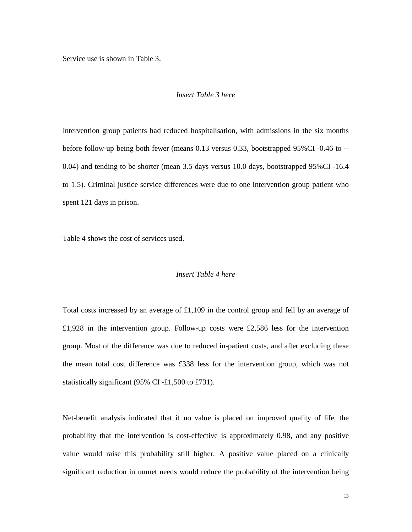Service use is shown in Table 3.

### *Insert Table 3 here*

Intervention group patients had reduced hospitalisation, with admissions in the six months before follow-up being both fewer (means 0.13 versus 0.33, bootstrapped 95%CI -0.46 to -- 0.04) and tending to be shorter (mean 3.5 days versus 10.0 days, bootstrapped 95%CI -16.4 to 1.5). Criminal justice service differences were due to one intervention group patient who spent 121 days in prison.

Table 4 shows the cost of services used.

# *Insert Table 4 here*

Total costs increased by an average of £1,109 in the control group and fell by an average of £1,928 in the intervention group. Follow-up costs were £2,586 less for the intervention group. Most of the difference was due to reduced in-patient costs, and after excluding these the mean total cost difference was £338 less for the intervention group, which was not statistically significant (95% CI -£1,500 to £731).

Net-benefit analysis indicated that if no value is placed on improved quality of life, the probability that the intervention is cost-effective is approximately 0.98, and any positive value would raise this probability still higher. A positive value placed on a clinically significant reduction in unmet needs would reduce the probability of the intervention being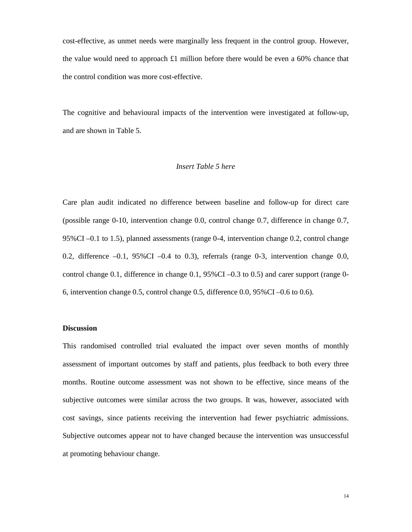cost-effective, as unmet needs were marginally less frequent in the control group. However, the value would need to approach £1 million before there would be even a 60% chance that the control condition was more cost-effective.

The cognitive and behavioural impacts of the intervention were investigated at follow-up, and are shown in Table 5.

# *Insert Table 5 here*

Care plan audit indicated no difference between baseline and follow-up for direct care (possible range 0-10, intervention change 0.0, control change 0.7, difference in change 0.7, 95%CI –0.1 to 1.5), planned assessments (range 0-4, intervention change 0.2, control change 0.2, difference  $-0.1$ , 95%CI  $-0.4$  to 0.3), referrals (range 0-3, intervention change 0.0, control change 0.1, difference in change 0.1, 95%CI –0.3 to 0.5) and carer support (range 0- 6, intervention change 0.5, control change 0.5, difference 0.0, 95%CI –0.6 to 0.6).

# **Discussion**

This randomised controlled trial evaluated the impact over seven months of monthly assessment of important outcomes by staff and patients, plus feedback to both every three months. Routine outcome assessment was not shown to be effective, since means of the subjective outcomes were similar across the two groups. It was, however, associated with cost savings, since patients receiving the intervention had fewer psychiatric admissions. Subjective outcomes appear not to have changed because the intervention was unsuccessful at promoting behaviour change.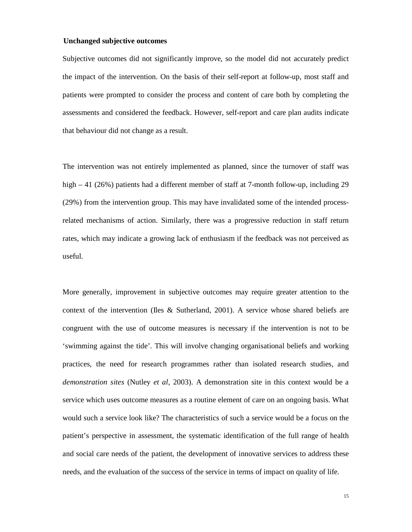#### **Unchanged subjective outcomes**

Subjective outcomes did not significantly improve, so the model did not accurately predict the impact of the intervention. On the basis of their self-report at follow-up, most staff and patients were prompted to consider the process and content of care both by completing the assessments and considered the feedback. However, self-report and care plan audits indicate that behaviour did not change as a result.

The intervention was not entirely implemented as planned, since the turnover of staff was high – 41 (26%) patients had a different member of staff at 7-month follow-up, including 29 (29%) from the intervention group. This may have invalidated some of the intended processrelated mechanisms of action. Similarly, there was a progressive reduction in staff return rates, which may indicate a growing lack of enthusiasm if the feedback was not perceived as useful.

More generally, improvement in subjective outcomes may require greater attention to the context of the intervention (Iles & Sutherland, 2001). A service whose shared beliefs are congruent with the use of outcome measures is necessary if the intervention is not to be 'swimming against the tide'. This will involve changing organisational beliefs and working practices, the need for research programmes rather than isolated research studies, and *demonstration sites* (Nutley *et al*, 2003). A demonstration site in this context would be a service which uses outcome measures as a routine element of care on an ongoing basis. What would such a service look like? The characteristics of such a service would be a focus on the patient's perspective in assessment, the systematic identification of the full range of health and social care needs of the patient, the development of innovative services to address these needs, and the evaluation of the success of the service in terms of impact on quality of life.

15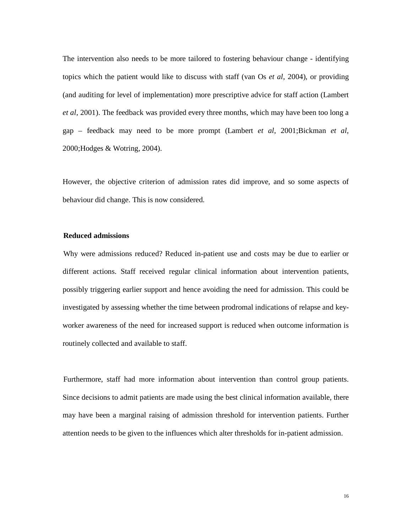The intervention also needs to be more tailored to fostering behaviour change - identifying topics which the patient would like to discuss with staff (van Os *et al*, 2004), or providing (and auditing for level of implementation) more prescriptive advice for staff action (Lambert *et al*, 2001). The feedback was provided every three months, which may have been too long a gap – feedback may need to be more prompt (Lambert *et al*, 2001;Bickman *et al*, 2000;Hodges & Wotring, 2004).

However, the objective criterion of admission rates did improve, and so some aspects of behaviour did change. This is now considered.

## **Reduced admissions**

Why were admissions reduced? Reduced in-patient use and costs may be due to earlier or different actions. Staff received regular clinical information about intervention patients, possibly triggering earlier support and hence avoiding the need for admission. This could be investigated by assessing whether the time between prodromal indications of relapse and keyworker awareness of the need for increased support is reduced when outcome information is routinely collected and available to staff.

Furthermore, staff had more information about intervention than control group patients. Since decisions to admit patients are made using the best clinical information available, there may have been a marginal raising of admission threshold for intervention patients. Further attention needs to be given to the influences which alter thresholds for in-patient admission.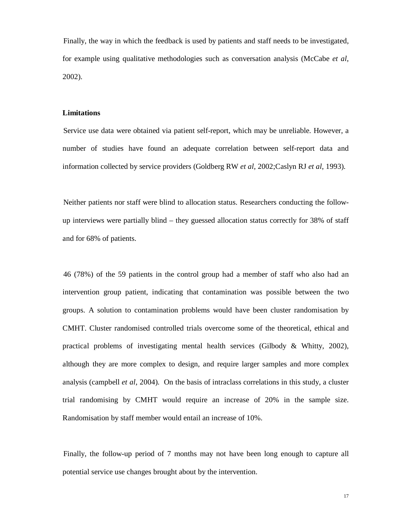Finally, the way in which the feedback is used by patients and staff needs to be investigated, for example using qualitative methodologies such as conversation analysis (McCabe *et al*, 2002).

### **Limitations**

Service use data were obtained via patient self-report, which may be unreliable. However, a number of studies have found an adequate correlation between self-report data and information collected by service providers (Goldberg RW *et al*, 2002;Caslyn RJ *et al*, 1993).

Neither patients nor staff were blind to allocation status. Researchers conducting the followup interviews were partially blind – they guessed allocation status correctly for 38% of staff and for 68% of patients.

46 (78%) of the 59 patients in the control group had a member of staff who also had an intervention group patient, indicating that contamination was possible between the two groups. A solution to contamination problems would have been cluster randomisation by CMHT. Cluster randomised controlled trials overcome some of the theoretical, ethical and practical problems of investigating mental health services (Gilbody & Whitty, 2002), although they are more complex to design, and require larger samples and more complex analysis (campbell *et al*, 2004). On the basis of intraclass correlations in this study, a cluster trial randomising by CMHT would require an increase of 20% in the sample size. Randomisation by staff member would entail an increase of 10%.

Finally, the follow-up period of 7 months may not have been long enough to capture all potential service use changes brought about by the intervention.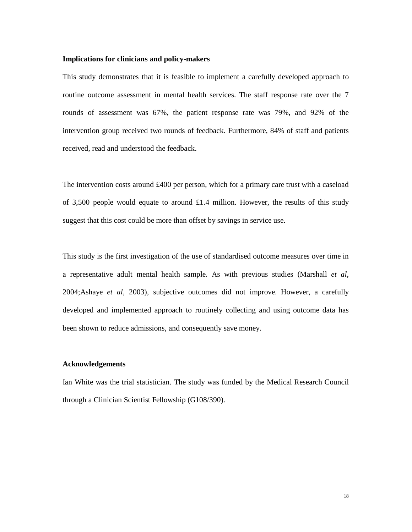## **Implications for clinicians and policy-makers**

This study demonstrates that it is feasible to implement a carefully developed approach to routine outcome assessment in mental health services. The staff response rate over the 7 rounds of assessment was 67%, the patient response rate was 79%, and 92% of the intervention group received two rounds of feedback. Furthermore, 84% of staff and patients received, read and understood the feedback.

The intervention costs around £400 per person, which for a primary care trust with a caseload of 3,500 people would equate to around  $\pounds1.4$  million. However, the results of this study suggest that this cost could be more than offset by savings in service use.

This study is the first investigation of the use of standardised outcome measures over time in a representative adult mental health sample. As with previous studies (Marshall *et al*, 2004;Ashaye *et al*, 2003), subjective outcomes did not improve. However, a carefully developed and implemented approach to routinely collecting and using outcome data has been shown to reduce admissions, and consequently save money.

## **Acknowledgements**

Ian White was the trial statistician. The study was funded by the Medical Research Council through a Clinician Scientist Fellowship (G108/390).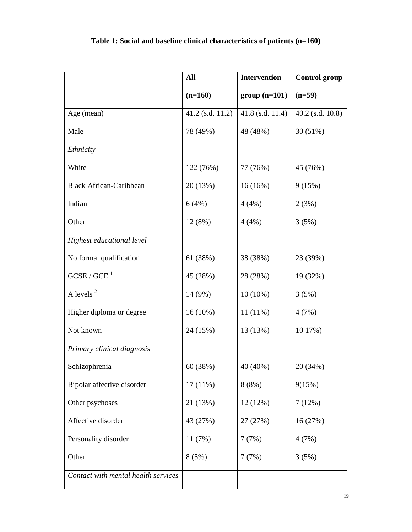|                                     | All                | <b>Intervention</b> | <b>Control group</b> |
|-------------------------------------|--------------------|---------------------|----------------------|
|                                     | $(n=160)$          | $group(n=101)$      | $(n=59)$             |
| Age (mean)                          | $41.2$ (s.d. 11.2) | 41.8 (s.d. 11.4)    | $40.2$ (s.d. 10.8)   |
| Male                                | 78 (49%)           | 48 (48%)            | 30 (51%)             |
| Ethnicity                           |                    |                     |                      |
| White                               | 122 (76%)          | 77 (76%)            | 45 (76%)             |
| <b>Black African-Caribbean</b>      | 20 (13%)           | 16(16%)             | 9(15%)               |
| Indian                              | 6(4%)              | 4(4%)               | 2(3%)                |
| Other                               | 12 (8%)            | 4(4%)               | 3(5%)                |
| Highest educational level           |                    |                     |                      |
| No formal qualification             | 61 (38%)           | 38 (38%)            | 23 (39%)             |
| GCSE / GCE <sup>1</sup>             | 45 (28%)           | 28 (28%)            | 19 (32%)             |
| A levels <sup>2</sup>               | 14 (9%)            | $10(10\%)$          | 3(5%)                |
| Higher diploma or degree            | 16 (10%)           | $11(11\%)$          | 4(7%)                |
| Not known                           | 24 (15%)           | 13 (13%)            | 10 17%)              |
| Primary clinical diagnosis          |                    |                     |                      |
| Schizophrenia                       | 60 (38%)           | 40 (40%)            | 20 (34%)             |
| Bipolar affective disorder          | $17(11\%)$         | 8(8%)               | 9(15%)               |
| Other psychoses                     | 21 (13%)           | 12(12%)             | 7(12%)               |
| Affective disorder                  | 43 (27%)           | 27 (27%)            | 16(27%)              |
| Personality disorder                | 11(7%)             | 7(7%)               | 4(7%)                |
| Other                               | 8(5%)              | 7(7%)               | 3(5%)                |
| Contact with mental health services |                    |                     |                      |

**Table 1: Social and baseline clinical characteristics of patients (n=160)**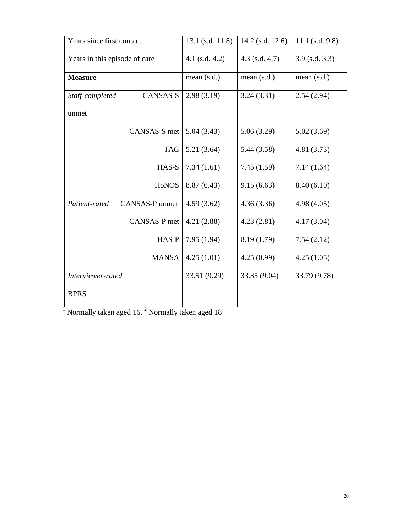| Years since first contact          | $13.1$ (s.d. 11.8) | 14.2 (s.d. 12.6) | $11.1$ (s.d. 9.8) |
|------------------------------------|--------------------|------------------|-------------------|
| Years in this episode of care      | 4.1 (s.d. 4.2)     | $4.3$ (s.d. 4.7) | $3.9$ (s.d. 3.3)  |
| <b>Measure</b>                     | mean $(s.d.)$      | mean $(s.d.)$    | mean (s.d.)       |
| <b>CANSAS-S</b><br>Staff-completed | 2.98(3.19)         | 3.24(3.31)       | 2.54(2.94)        |
| unmet                              |                    |                  |                   |
| CANSAS-S met                       | 5.04(3.43)         | 5.06(3.29)       | 5.02(3.69)        |
| <b>TAG</b>                         | 5.21(3.64)         | 5.44(3.58)       | 4.81(3.73)        |
| HAS-S                              | 7.34(1.61)         | 7.45(1.59)       | 7.14(1.64)        |
| <b>HONOS</b>                       | 8.87(6.43)         | 9.15(6.63)       | 8.40(6.10)        |
| CANSAS-P unmet<br>Patient-rated    | 4.59(3.62)         | 4.36(3.36)       | 4.98(4.05)        |
| CANSAS-P met                       | 4.21(2.88)         | 4.23(2.81)       | 4.17(3.04)        |
| HAS-P                              | 7.95(1.94)         | 8.19 (1.79)      | 7.54(2.12)        |
| <b>MANSA</b>                       | 4.25(1.01)         | 4.25(0.99)       | 4.25(1.05)        |
| Interviewer-rated                  | 33.51 (9.29)       | 33.35 (9.04)     | 33.79 (9.78)      |
| <b>BPRS</b>                        |                    |                  |                   |

 $\overline{1}$  Normally taken aged 16,  $\overline{2}$  Normally taken aged 18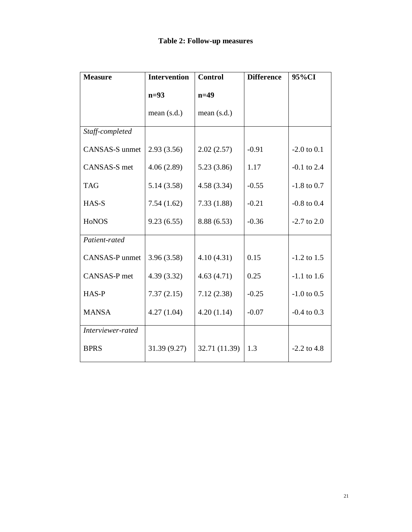| <b>Measure</b>    | <b>Intervention</b> | <b>Control</b> | <b>Difference</b> | 95%CI           |
|-------------------|---------------------|----------------|-------------------|-----------------|
|                   | $n=93$              | $n=49$         |                   |                 |
|                   | mean $(s.d.)$       | mean $(s.d.)$  |                   |                 |
| Staff-completed   |                     |                |                   |                 |
| CANSAS-S unmet    | 2.93(3.56)          | 2.02(2.57)     | $-0.91$           | $-2.0$ to $0.1$ |
| CANSAS-S met      | 4.06(2.89)          | 5.23(3.86)     | 1.17              | $-0.1$ to 2.4   |
| <b>TAG</b>        | 5.14(3.58)          | 4.58(3.34)     | $-0.55$           | $-1.8$ to 0.7   |
| HAS-S             | 7.54(1.62)          | 7.33(1.88)     | $-0.21$           | $-0.8$ to $0.4$ |
| HoNOS             | 9.23(6.55)          | 8.88(6.53)     | $-0.36$           | $-2.7$ to 2.0   |
| Patient-rated     |                     |                |                   |                 |
| CANSAS-P unmet    | 3.96(3.58)          | 4.10(4.31)     | 0.15              | $-1.2$ to 1.5   |
| CANSAS-P met      | 4.39(3.32)          | 4.63(4.71)     | 0.25              | $-1.1$ to 1.6   |
| HAS-P             | 7.37(2.15)          | 7.12(2.38)     | $-0.25$           | $-1.0$ to 0.5   |
| <b>MANSA</b>      | 4.27(1.04)          | 4.20(1.14)     | $-0.07$           | $-0.4$ to 0.3   |
| Interviewer-rated |                     |                |                   |                 |
| <b>BPRS</b>       | 31.39 (9.27)        | 32.71 (11.39)  | 1.3               | $-2.2$ to 4.8   |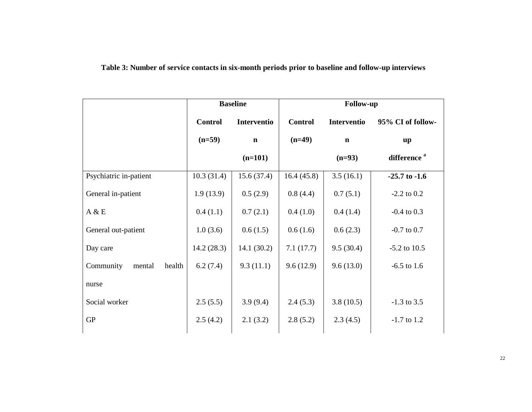**Table 3: Number of service contacts in six-month periods prior to baseline and follow-up interviews** 

|                               | <b>Baseline</b> |             | <b>Follow-up</b> |                    |                         |
|-------------------------------|-----------------|-------------|------------------|--------------------|-------------------------|
|                               | <b>Control</b>  | Interventio | <b>Control</b>   | <b>Interventio</b> | 95% CI of follow-       |
|                               | $(n=59)$        | $\mathbf n$ | $(n=49)$         | $\mathbf n$        | up                      |
|                               |                 | $(n=101)$   |                  | $(n=93)$           | difference <sup>a</sup> |
| Psychiatric in-patient        | 10.3(31.4)      | 15.6(37.4)  | 16.4(45.8)       | 3.5(16.1)          | $-25.7$ to $-1.6$       |
| General in-patient            | 1.9(13.9)       | 0.5(2.9)    | 0.8(4.4)         | 0.7(5.1)           | $-2.2$ to 0.2           |
| A & E                         | 0.4(1.1)        | 0.7(2.1)    | 0.4(1.0)         | 0.4(1.4)           | $-0.4$ to 0.3           |
| General out-patient           | 1.0(3.6)        | 0.6(1.5)    | 0.6(1.6)         | 0.6(2.3)           | $-0.7$ to $0.7$         |
| Day care                      | 14.2(28.3)      | 14.1(30.2)  | 7.1(17.7)        | 9.5(30.4)          | $-5.2$ to 10.5          |
| Community<br>health<br>mental | 6.2(7.4)        | 9.3(11.1)   | 9.6(12.9)        | 9.6(13.0)          | $-6.5$ to 1.6           |
| nurse                         |                 |             |                  |                    |                         |
| Social worker                 | 2.5(5.5)        | 3.9(9.4)    | 2.4(5.3)         | 3.8(10.5)          | $-1.3$ to 3.5           |
| <b>GP</b>                     | 2.5(4.2)        | 2.1(3.2)    | 2.8(5.2)         | 2.3(4.5)           | $-1.7$ to 1.2           |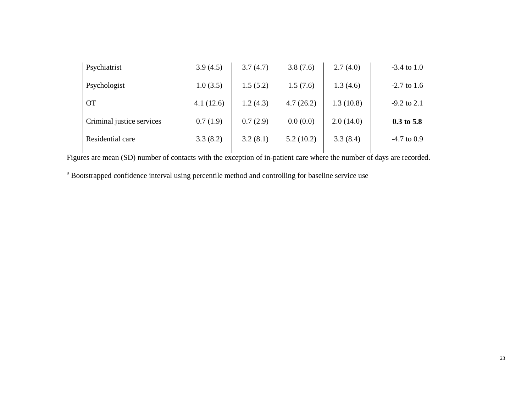| Psychiatrist              | 3.9(4.5)  | 3.7(4.7) | 3.8(7.6)  | 2.7(4.0)  | $-3.4$ to 1.0 |
|---------------------------|-----------|----------|-----------|-----------|---------------|
| Psychologist              | 1.0(3.5)  | 1.5(5.2) | 1.5(7.6)  | 1.3(4.6)  | $-2.7$ to 1.6 |
| <b>OT</b>                 | 4.1(12.6) | 1.2(4.3) | 4.7(26.2) | 1.3(10.8) | $-9.2$ to 2.1 |
| Criminal justice services | 0.7(1.9)  | 0.7(2.9) | 0.0(0.0)  | 2.0(14.0) | $0.3$ to 5.8  |
| Residential care          | 3.3(8.2)  | 3.2(8.1) | 5.2(10.2) | 3.3(8.4)  | $-4.7$ to 0.9 |
|                           |           |          |           |           |               |

Figures are mean (SD) number of contacts with the exception of in-patient care where the number of days are recorded.

<sup>a</sup> Bootstrapped confidence interval using percentile method and controlling for baseline service use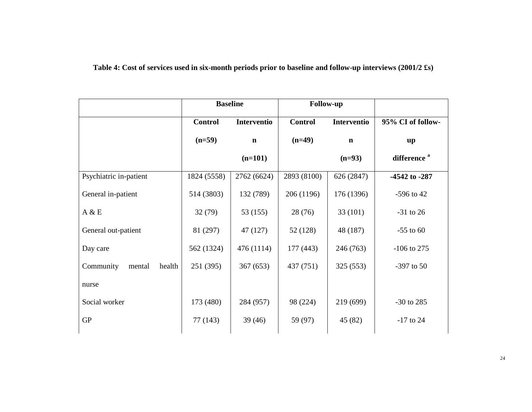**Table 4: Cost of services used in six-month periods prior to baseline and follow-up interviews (2001/2 £s)** 

|                               | <b>Baseline</b> |                    | <b>Follow-up</b> |                    |                         |
|-------------------------------|-----------------|--------------------|------------------|--------------------|-------------------------|
|                               | <b>Control</b>  | <b>Interventio</b> | <b>Control</b>   | <b>Interventio</b> | 95% CI of follow-       |
|                               | $(n=59)$        | $\mathbf n$        | $(n=49)$         | $\mathbf n$        | up                      |
|                               |                 | $(n=101)$          |                  | $(n=93)$           | difference <sup>a</sup> |
| Psychiatric in-patient        | 1824 (5558)     | 2762 (6624)        | 2893 (8100)      | 626 (2847)         | $-4542$ to $-287$       |
| General in-patient            | 514 (3803)      | 132 (789)          | 206 (1196)       | 176 (1396)         | $-596$ to 42            |
| A & E                         | 32(79)          | 53 (155)           | 28 (76)          | 33(101)            | $-31$ to 26             |
| General out-patient           | 81 (297)        | 47 (127)           | 52 (128)         | 48 (187)           | $-55$ to 60             |
| Day care                      | 562 (1324)      | 476 (1114)         | 177 (443)        | 246 (763)          | $-106$ to 275           |
| Community<br>health<br>mental | 251 (395)       | 367(653)           | 437 (751)        | 325(553)           | $-397$ to 50            |
| nurse                         |                 |                    |                  |                    |                         |
| Social worker                 | 173 (480)       | 284 (957)          | 98 (224)         | 219 (699)          | $-30$ to 285            |
| <b>GP</b>                     | 77 (143)        | 39(46)             | 59 (97)          | 45 (82)            | $-17$ to 24             |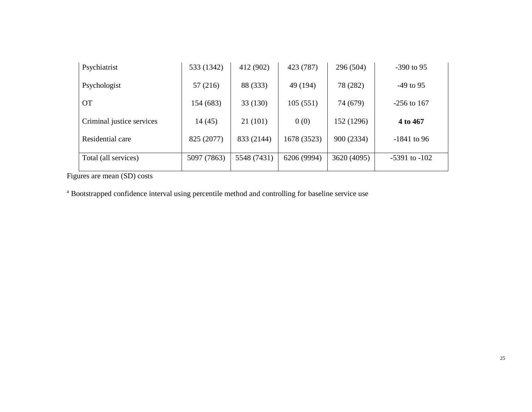| Psychiatrist              | 533 (1342)  | 412 (902)   | 423 (787)   | 296 (504)   | $-390$ to 95      |
|---------------------------|-------------|-------------|-------------|-------------|-------------------|
| Psychologist              | 57 (216)    | 88 (333)    | 49 (194)    | 78 (282)    | $-49$ to 95       |
| <b>OT</b>                 | 154 (683)   | 33(130)     | 105(551)    | 74 (679)    | $-256$ to 167     |
| Criminal justice services | 14 (45)     | 21(101)     | 0(0)        | 152 (1296)  | 4 to 467          |
| Residential care          | 825 (2077)  | 833 (2144)  | 1678 (3523) | 900 (2334)  | $-1841$ to 96     |
| Total (all services)      | 5097 (7863) | 5548 (7431) | 6206 (9994) | 3620 (4095) | $-5391$ to $-102$ |

Figures are mean (SD) costs

<sup>a</sup> Bootstrapped confidence interval using percentile method and controlling for baseline service use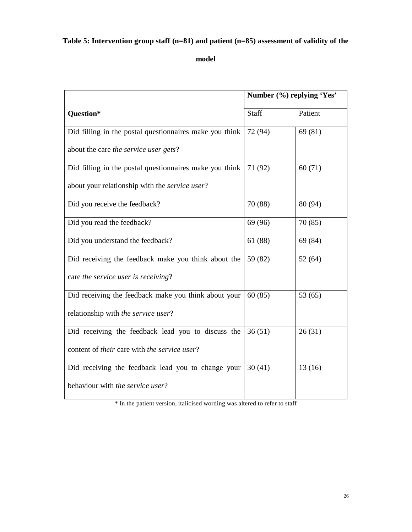# **Table 5: Intervention group staff (n=81) and patient (n=85) assessment of validity of the**

**model** 

|                                                         |         | Number (%) replying 'Yes' |  |  |
|---------------------------------------------------------|---------|---------------------------|--|--|
| <b>Question*</b>                                        | Staff   | Patient                   |  |  |
| Did filling in the postal questionnaires make you think | 72 (94) | 69 (81)                   |  |  |
| about the care the service user gets?                   |         |                           |  |  |
| Did filling in the postal questionnaires make you think | 71 (92) | 60(71)                    |  |  |
| about your relationship with the service user?          |         |                           |  |  |
| Did you receive the feedback?                           | 70 (88) | 80 (94)                   |  |  |
| Did you read the feedback?                              | 69 (96) | 70 (85)                   |  |  |
| Did you understand the feedback?                        | 61 (88) | 69 (84)                   |  |  |
| Did receiving the feedback make you think about the     | 59 (82) | 52(64)                    |  |  |
| care the service user is receiving?                     |         |                           |  |  |
| Did receiving the feedback make you think about your    | 60(85)  | 53 $(65)$                 |  |  |
| relationship with the service user?                     |         |                           |  |  |
| Did receiving the feedback lead you to discuss the      | 36(51)  | 26(31)                    |  |  |
| content of their care with the service user?            |         |                           |  |  |
| Did receiving the feedback lead you to change your      | 30(41)  | 13(16)                    |  |  |
| behaviour with the service user?                        |         |                           |  |  |

\* In the patient version, italicised wording was altered to refer to staff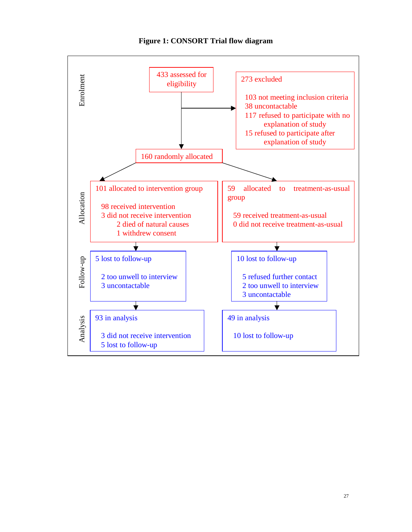

**Figure 1: CONSORT Trial flow diagram**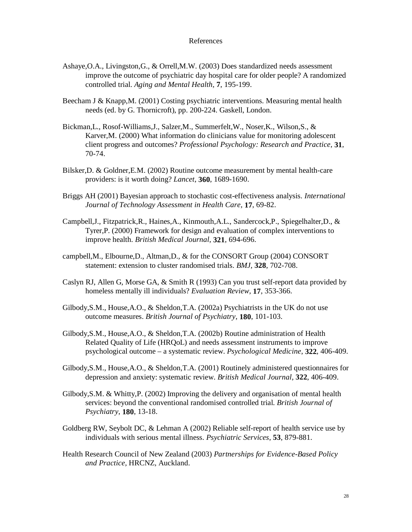### References

- Ashaye,O.A., Livingston,G., & Orrell,M.W. (2003) Does standardized needs assessment improve the outcome of psychiatric day hospital care for older people? A randomized controlled trial. *Aging and Mental Health*, **7**, 195-199.
- Beecham J & Knapp,M. (2001) Costing psychiatric interventions. Measuring mental health needs (ed. by G. Thornicroft), pp. 200-224. Gaskell, London.
- Bickman,L., Rosof-Williams,J., Salzer,M., Summerfelt,W., Noser,K., Wilson,S., & Karver,M. (2000) What information do clinicians value for monitoring adolescent client progress and outcomes? *Professional Psychology: Research and Practice*, **31**, 70-74.
- Bilsker,D. & Goldner,E.M. (2002) Routine outcome measurement by mental health-care providers: is it worth doing? *Lancet*, **360**, 1689-1690.
- Briggs AH (2001) Bayesian approach to stochastic cost-effectiveness analysis. *International Journal of Technology Assessment in Health Care*, **17**, 69-82.
- Campbell,J., Fitzpatrick,R., Haines,A., Kinmouth,A.L., Sandercock,P., Spiegelhalter,D., & Tyrer,P. (2000) Framework for design and evaluation of complex interventions to improve health. *British Medical Journal*, **321**, 694-696.
- campbell,M., Elbourne,D., Altman,D., & for the CONSORT Group (2004) CONSORT statement: extension to cluster randomised trials. *BMJ*, **328**, 702-708.
- Caslyn RJ, Allen G, Morse GA, & Smith R (1993) Can you trust self-report data provided by homeless mentally ill individuals? *Evaluation Review*, **17**, 353-366.
- Gilbody,S.M., House,A.O., & Sheldon,T.A. (2002a) Psychiatrists in the UK do not use outcome measures. *British Journal of Psychiatry*, **180**, 101-103.
- Gilbody,S.M., House,A.O., & Sheldon,T.A. (2002b) Routine administration of Health Related Quality of Life (HRQoL) and needs assessment instruments to improve psychological outcome – a systematic review. *Psychological Medicine*, **322**, 406-409.
- Gilbody,S.M., House,A.O., & Sheldon,T.A. (2001) Routinely administered questionnaires for depression and anxiety: systematic review. *British Medical Journal*, **322**, 406-409.
- Gilbody,S.M. & Whitty,P. (2002) Improving the delivery and organisation of mental health services: beyond the conventional randomised controlled trial. *British Journal of Psychiatry*, **180**, 13-18.
- Goldberg RW, Seybolt DC, & Lehman A (2002) Reliable self-report of health service use by individuals with serious mental illness. *Psychiatric Services*, **53**, 879-881.
- Health Research Council of New Zealand (2003) *Partnerships for Evidence-Based Policy and Practice,* HRCNZ, Auckland.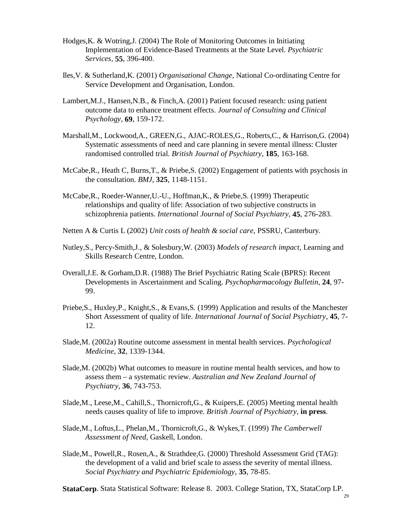- Hodges,K. & Wotring,J. (2004) The Role of Monitoring Outcomes in Initiating Implementation of Evidence-Based Treatments at the State Level. *Psychiatric Services*, **55**, 396-400.
- Iles,V. & Sutherland,K. (2001) *Organisational Change,* National Co-ordinating Centre for Service Development and Organisation, London.
- Lambert,M.J., Hansen,N.B., & Finch,A. (2001) Patient focused research: using patient outcome data to enhance treatment effects. *Journal of Consulting and Clinical Psychology*, **69**, 159-172.
- Marshall,M., Lockwood,A., GREEN,G., AJAC-ROLES,G., Roberts,C., & Harrison,G. (2004) Systematic assessments of need and care planning in severe mental illness: Cluster randomised controlled trial. *British Journal of Psychiatry*, **185**, 163-168.
- McCabe,R., Heath C, Burns,T., & Priebe,S. (2002) Engagement of patients with psychosis in the consultation. *BMJ*, **325**, 1148-1151.
- McCabe,R., Roeder-Wanner,U.-U., Hoffman,K., & Priebe,S. (1999) Therapeutic relationships and quality of life: Association of two subjective constructs in schizophrenia patients. *International Journal of Social Psychiatry*, **45**, 276-283.
- Netten A & Curtis L (2002) *Unit costs of health & social care,* PSSRU, Canterbury.
- Nutley,S., Percy-Smith,J., & Solesbury,W. (2003) *Models of research impact,* Learning and Skills Research Centre, London.
- Overall,J.E. & Gorham,D.R. (1988) The Brief Psychiatric Rating Scale (BPRS): Recent Developments in Ascertainment and Scaling. *Psychopharmacology Bulletin*, **24**, 97- 99.
- Priebe,S., Huxley,P., Knight,S., & Evans,S. (1999) Application and results of the Manchester Short Assessment of quality of life. *International Journal of Social Psychiatry*, **45**, 7- 12.
- Slade,M. (2002a) Routine outcome assessment in mental health services. *Psychological Medicine*, **32**, 1339-1344.
- Slade,M. (2002b) What outcomes to measure in routine mental health services, and how to assess them – a systematic review. *Australian and New Zealand Journal of Psychiatry*, **36**, 743-753.
- Slade,M., Leese,M., Cahill,S., Thornicroft,G., & Kuipers,E. (2005) Meeting mental health needs causes quality of life to improve. *British Journal of Psychiatry*, **in press**.
- Slade,M., Loftus,L., Phelan,M., Thornicroft,G., & Wykes,T. (1999) *The Camberwell Assessment of Need,* Gaskell, London.
- Slade,M., Powell,R., Rosen,A., & Strathdee,G. (2000) Threshold Assessment Grid (TAG): the development of a valid and brief scale to assess the severity of mental illness. *Social Psychiatry and Psychiatric Epidemiology*, **35**, 78-85.

**StataCorp**. Stata Statistical Software: Release 8. 2003. College Station, TX, StataCorp LP.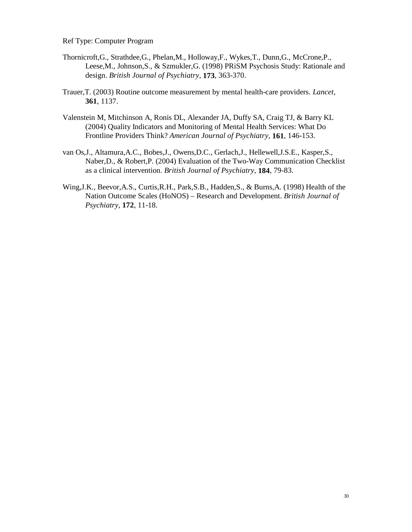Ref Type: Computer Program

- Thornicroft,G., Strathdee,G., Phelan,M., Holloway,F., Wykes,T., Dunn,G., McCrone,P., Leese,M., Johnson,S., & Szmukler,G. (1998) PRiSM Psychosis Study: Rationale and design. *British Journal of Psychiatry*, **173**, 363-370.
- Trauer,T. (2003) Routine outcome measurement by mental health-care providers. *Lancet*, **361**, 1137.
- Valenstein M, Mitchinson A, Ronis DL, Alexander JA, Duffy SA, Craig TJ, & Barry KL (2004) Quality Indicators and Monitoring of Mental Health Services: What Do Frontline Providers Think? *American Journal of Psychiatry*, **161**, 146-153.
- van Os,J., Altamura,A.C., Bobes,J., Owens,D.C., Gerlach,J., Hellewell,J.S.E., Kasper,S., Naber,D., & Robert,P. (2004) Evaluation of the Two-Way Communication Checklist as a clinical intervention. *British Journal of Psychiatry*, **184**, 79-83.
- Wing,J.K., Beevor,A.S., Curtis,R.H., Park,S.B., Hadden,S., & Burns,A. (1998) Health of the Nation Outcome Scales (HoNOS) – Research and Development. *British Journal of Psychiatry*, **172**, 11-18.